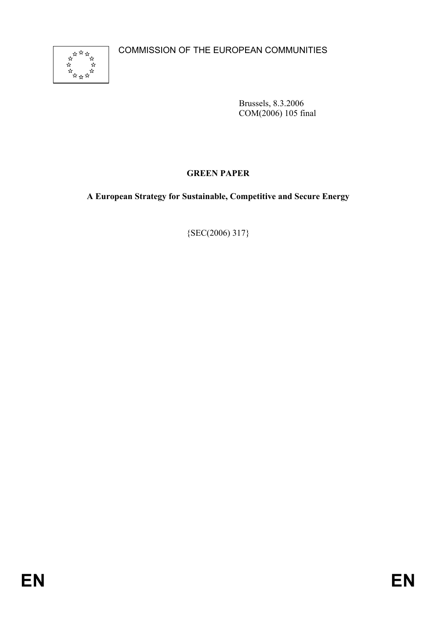COMMISSION OF THE EUROPEAN COMMUNITIES



Brussels, 8.3.2006 COM(2006) 105 final

# **GREEN PAPER**

## **A European Strategy for Sustainable, Competitive and Secure Energy**

{SEC(2006) 317}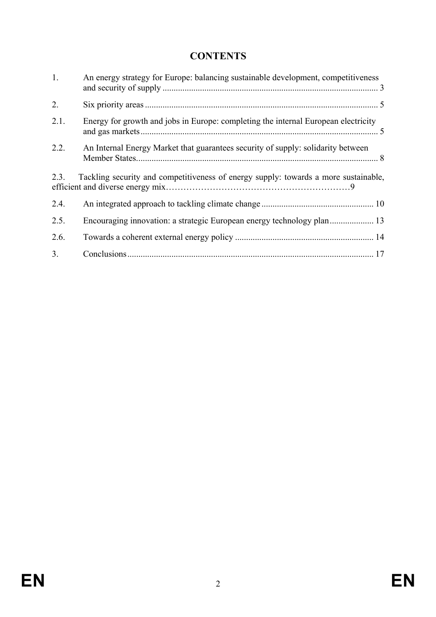# **CONTENTS**

| 1.   | An energy strategy for Europe: balancing sustainable development, competitiveness   |  |
|------|-------------------------------------------------------------------------------------|--|
| 2.   |                                                                                     |  |
| 2.1. | Energy for growth and jobs in Europe: completing the internal European electricity  |  |
| 2.2. | An Internal Energy Market that guarantees security of supply: solidarity between    |  |
| 2.3. | Tackling security and competitiveness of energy supply: towards a more sustainable, |  |
| 2.4. |                                                                                     |  |
| 2.5. |                                                                                     |  |
|      |                                                                                     |  |
| 2.6. |                                                                                     |  |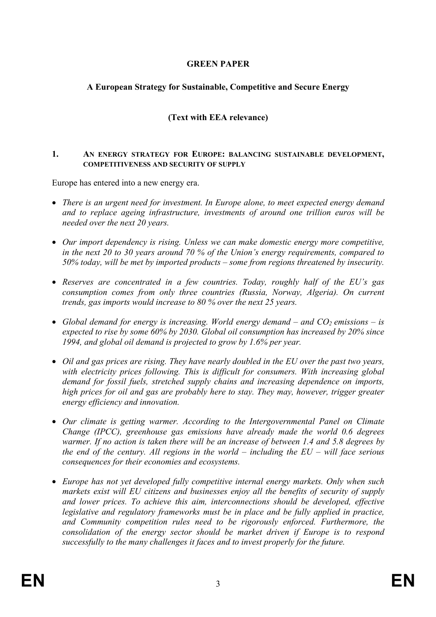### **GREEN PAPER**

#### **A European Strategy for Sustainable, Competitive and Secure Energy**

# **(Text with EEA relevance)**

#### **1. AN ENERGY STRATEGY FOR EUROPE: BALANCING SUSTAINABLE DEVELOPMENT, COMPETITIVENESS AND SECURITY OF SUPPLY**

Europe has entered into a new energy era.

- *There is an urgent need for investment. In Europe alone, to meet expected energy demand and to replace ageing infrastructure, investments of around one trillion euros will be needed over the next 20 years.*
- *Our import dependency is rising. Unless we can make domestic energy more competitive, in the next 20 to 30 years around 70 % of the Union's energy requirements, compared to 50% today, will be met by imported products – some from regions threatened by insecurity.*
- *Reserves are concentrated in a few countries. Today, roughly half of the EU's gas consumption comes from only three countries (Russia, Norway, Algeria). On current trends, gas imports would increase to 80 % over the next 25 years.*
- *Global demand for energy is increasing. World energy demand and*  $CO_2$  *emissions is expected to rise by some 60% by 2030. Global oil consumption has increased by 20% since 1994, and global oil demand is projected to grow by 1.6% per year.*
- *Oil and gas prices are rising. They have nearly doubled in the EU over the past two years, with electricity prices following. This is difficult for consumers. With increasing global demand for fossil fuels, stretched supply chains and increasing dependence on imports, high prices for oil and gas are probably here to stay. They may, however, trigger greater energy efficiency and innovation.*
- *Our climate is getting warmer. According to the Intergovernmental Panel on Climate Change (IPCC), greenhouse gas emissions have already made the world 0.6 degrees warmer. If no action is taken there will be an increase of between 1.4 and 5.8 degrees by the end of the century. All regions in the world – including the EU – will face serious consequences for their economies and ecosystems.*
- *Europe has not yet developed fully competitive internal energy markets. Only when such markets exist will EU citizens and businesses enjoy all the benefits of security of supply and lower prices. To achieve this aim, interconnections should be developed, effective*  legislative and regulatory frameworks must be in place and be fully applied in practice, *and Community competition rules need to be rigorously enforced. Furthermore, the consolidation of the energy sector should be market driven if Europe is to respond successfully to the many challenges it faces and to invest properly for the future.*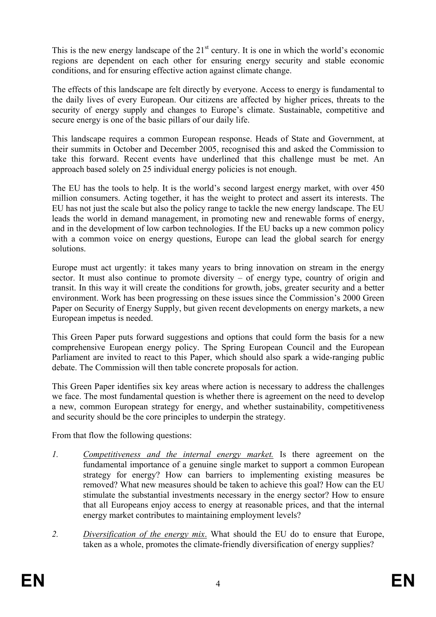This is the new energy landscape of the  $21<sup>st</sup>$  century. It is one in which the world's economic regions are dependent on each other for ensuring energy security and stable economic conditions, and for ensuring effective action against climate change.

The effects of this landscape are felt directly by everyone. Access to energy is fundamental to the daily lives of every European. Our citizens are affected by higher prices, threats to the security of energy supply and changes to Europe's climate. Sustainable, competitive and secure energy is one of the basic pillars of our daily life.

This landscape requires a common European response. Heads of State and Government, at their summits in October and December 2005, recognised this and asked the Commission to take this forward. Recent events have underlined that this challenge must be met. An approach based solely on 25 individual energy policies is not enough.

The EU has the tools to help. It is the world's second largest energy market, with over 450 million consumers. Acting together, it has the weight to protect and assert its interests. The EU has not just the scale but also the policy range to tackle the new energy landscape. The EU leads the world in demand management, in promoting new and renewable forms of energy, and in the development of low carbon technologies. If the EU backs up a new common policy with a common voice on energy questions, Europe can lead the global search for energy solutions.

Europe must act urgently: it takes many years to bring innovation on stream in the energy sector. It must also continue to promote diversity – of energy type, country of origin and transit. In this way it will create the conditions for growth, jobs, greater security and a better environment. Work has been progressing on these issues since the Commission's 2000 Green Paper on Security of Energy Supply, but given recent developments on energy markets, a new European impetus is needed.

This Green Paper puts forward suggestions and options that could form the basis for a new comprehensive European energy policy. The Spring European Council and the European Parliament are invited to react to this Paper, which should also spark a wide-ranging public debate. The Commission will then table concrete proposals for action.

This Green Paper identifies six key areas where action is necessary to address the challenges we face. The most fundamental question is whether there is agreement on the need to develop a new, common European strategy for energy, and whether sustainability, competitiveness and security should be the core principles to underpin the strategy.

From that flow the following questions:

- *1. Competitiveness and the internal energy market.* Is there agreement on the fundamental importance of a genuine single market to support a common European strategy for energy? How can barriers to implementing existing measures be removed? What new measures should be taken to achieve this goal? How can the EU stimulate the substantial investments necessary in the energy sector? How to ensure that all Europeans enjoy access to energy at reasonable prices, and that the internal energy market contributes to maintaining employment levels?
- *2. Diversification of the energy mix*. What should the EU do to ensure that Europe, taken as a whole, promotes the climate-friendly diversification of energy supplies?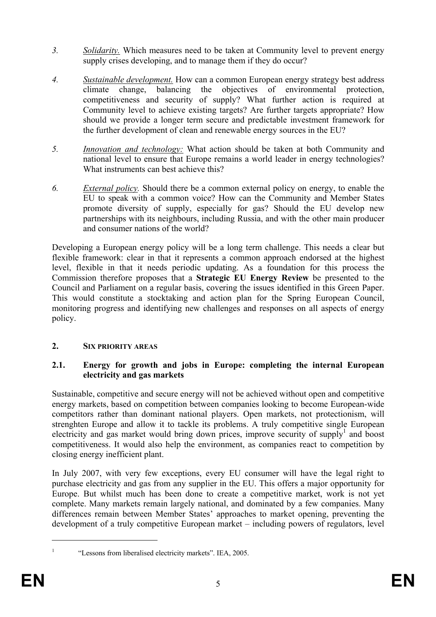- *3. Solidarity.* Which measures need to be taken at Community level to prevent energy supply crises developing, and to manage them if they do occur?
- *4. Sustainable development.* How can a common European energy strategy best address climate change, balancing the objectives of environmental protection, competitiveness and security of supply? What further action is required at Community level to achieve existing targets? Are further targets appropriate? How should we provide a longer term secure and predictable investment framework for the further development of clean and renewable energy sources in the EU?
- *5. Innovation and technology:* What action should be taken at both Community and national level to ensure that Europe remains a world leader in energy technologies? What instruments can best achieve this?
- *6. External policy.* Should there be a common external policy on energy, to enable the EU to speak with a common voice? How can the Community and Member States promote diversity of supply, especially for gas? Should the EU develop new partnerships with its neighbours, including Russia, and with the other main producer and consumer nations of the world?

Developing a European energy policy will be a long term challenge. This needs a clear but flexible framework: clear in that it represents a common approach endorsed at the highest level, flexible in that it needs periodic updating. As a foundation for this process the Commission therefore proposes that a **Strategic EU Energy Review** be presented to the Council and Parliament on a regular basis, covering the issues identified in this Green Paper. This would constitute a stocktaking and action plan for the Spring European Council, monitoring progress and identifying new challenges and responses on all aspects of energy policy.

#### **2. SIX PRIORITY AREAS**

## **2.1. Energy for growth and jobs in Europe: completing the internal European electricity and gas markets**

Sustainable, competitive and secure energy will not be achieved without open and competitive energy markets, based on competition between companies looking to become European-wide competitors rather than dominant national players. Open markets, not protectionism, will strenghten Europe and allow it to tackle its problems. A truly competitive single European electricity and gas market would bring down prices, improve security of supply<sup>1</sup> and boost competitiveness. It would also help the environment, as companies react to competition by closing energy inefficient plant.

In July 2007, with very few exceptions, every EU consumer will have the legal right to purchase electricity and gas from any supplier in the EU. This offers a major opportunity for Europe. But whilst much has been done to create a competitive market, work is not yet complete. Many markets remain largely national, and dominated by a few companies. Many differences remain between Member States' approaches to market opening, preventing the development of a truly competitive European market – including powers of regulators, level

 $\overline{a}$ 

<sup>1</sup>

 <sup>&</sup>quot;Lessons from liberalised electricity markets". IEA, 2005.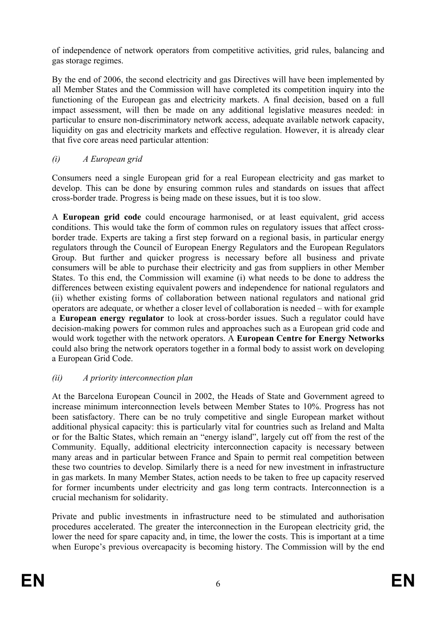of independence of network operators from competitive activities, grid rules, balancing and gas storage regimes.

By the end of 2006, the second electricity and gas Directives will have been implemented by all Member States and the Commission will have completed its competition inquiry into the functioning of the European gas and electricity markets. A final decision, based on a full impact assessment, will then be made on any additional legislative measures needed: in particular to ensure non-discriminatory network access, adequate available network capacity, liquidity on gas and electricity markets and effective regulation. However, it is already clear that five core areas need particular attention:

*(i) A European grid* 

Consumers need a single European grid for a real European electricity and gas market to develop. This can be done by ensuring common rules and standards on issues that affect cross-border trade. Progress is being made on these issues, but it is too slow.

A **European grid code** could encourage harmonised, or at least equivalent, grid access conditions. This would take the form of common rules on regulatory issues that affect crossborder trade. Experts are taking a first step forward on a regional basis, in particular energy regulators through the Council of European Energy Regulators and the European Regulators Group. But further and quicker progress is necessary before all business and private consumers will be able to purchase their electricity and gas from suppliers in other Member States. To this end, the Commission will examine (i) what needs to be done to address the differences between existing equivalent powers and independence for national regulators and (ii) whether existing forms of collaboration between national regulators and national grid operators are adequate, or whether a closer level of collaboration is needed – with for example a **European energy regulator** to look at cross-border issues. Such a regulator could have decision-making powers for common rules and approaches such as a European grid code and would work together with the network operators. A **European Centre for Energy Networks** could also bring the network operators together in a formal body to assist work on developing a European Grid Code.

# *(ii) A priority interconnection plan*

At the Barcelona European Council in 2002, the Heads of State and Government agreed to increase minimum interconnection levels between Member States to 10%. Progress has not been satisfactory. There can be no truly competitive and single European market without additional physical capacity: this is particularly vital for countries such as Ireland and Malta or for the Baltic States, which remain an "energy island", largely cut off from the rest of the Community. Equally, additional electricity interconnection capacity is necessary between many areas and in particular between France and Spain to permit real competition between these two countries to develop. Similarly there is a need for new investment in infrastructure in gas markets. In many Member States, action needs to be taken to free up capacity reserved for former incumbents under electricity and gas long term contracts. Interconnection is a crucial mechanism for solidarity.

Private and public investments in infrastructure need to be stimulated and authorisation procedures accelerated. The greater the interconnection in the European electricity grid, the lower the need for spare capacity and, in time, the lower the costs. This is important at a time when Europe's previous overcapacity is becoming history. The Commission will by the end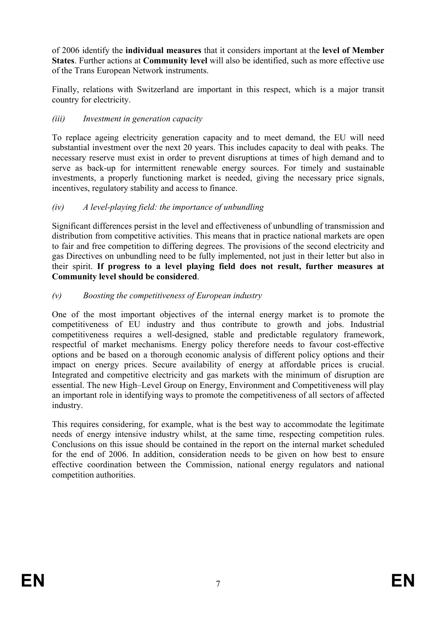of 2006 identify the **individual measures** that it considers important at the **level of Member States**. Further actions at **Community level** will also be identified, such as more effective use of the Trans European Network instruments.

Finally, relations with Switzerland are important in this respect, which is a major transit country for electricity.

#### *(iii) Investment in generation capacity*

To replace ageing electricity generation capacity and to meet demand, the EU will need substantial investment over the next 20 years. This includes capacity to deal with peaks. The necessary reserve must exist in order to prevent disruptions at times of high demand and to serve as back-up for intermittent renewable energy sources. For timely and sustainable investments, a properly functioning market is needed, giving the necessary price signals, incentives, regulatory stability and access to finance.

#### *(iv) A level-playing field: the importance of unbundling*

Significant differences persist in the level and effectiveness of unbundling of transmission and distribution from competitive activities. This means that in practice national markets are open to fair and free competition to differing degrees. The provisions of the second electricity and gas Directives on unbundling need to be fully implemented, not just in their letter but also in their spirit. **If progress to a level playing field does not result, further measures at Community level should be considered**.

#### *(v) Boosting the competitiveness of European industry*

One of the most important objectives of the internal energy market is to promote the competitiveness of EU industry and thus contribute to growth and jobs. Industrial competitiveness requires a well-designed, stable and predictable regulatory framework, respectful of market mechanisms. Energy policy therefore needs to favour cost-effective options and be based on a thorough economic analysis of different policy options and their impact on energy prices. Secure availability of energy at affordable prices is crucial. Integrated and competitive electricity and gas markets with the minimum of disruption are essential. The new High–Level Group on Energy, Environment and Competitiveness will play an important role in identifying ways to promote the competitiveness of all sectors of affected industry.

This requires considering, for example, what is the best way to accommodate the legitimate needs of energy intensive industry whilst, at the same time, respecting competition rules. Conclusions on this issue should be contained in the report on the internal market scheduled for the end of 2006. In addition, consideration needs to be given on how best to ensure effective coordination between the Commission, national energy regulators and national competition authorities.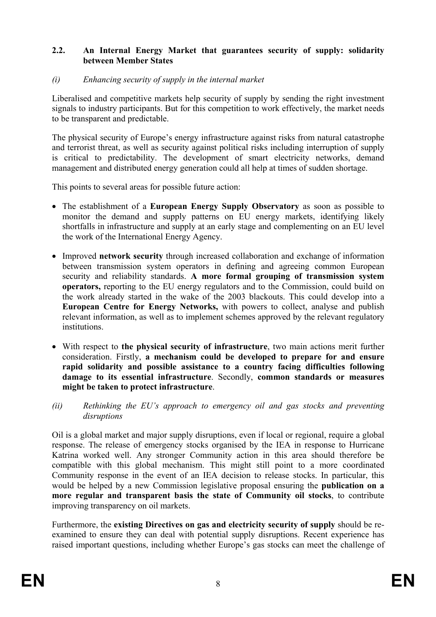#### **2.2. An Internal Energy Market that guarantees security of supply: solidarity between Member States**

#### *(i) Enhancing security of supply in the internal market*

Liberalised and competitive markets help security of supply by sending the right investment signals to industry participants. But for this competition to work effectively, the market needs to be transparent and predictable.

The physical security of Europe's energy infrastructure against risks from natural catastrophe and terrorist threat, as well as security against political risks including interruption of supply is critical to predictability. The development of smart electricity networks, demand management and distributed energy generation could all help at times of sudden shortage.

This points to several areas for possible future action:

- The establishment of a **European Energy Supply Observatory** as soon as possible to monitor the demand and supply patterns on EU energy markets, identifying likely shortfalls in infrastructure and supply at an early stage and complementing on an EU level the work of the International Energy Agency.
- Improved **network security** through increased collaboration and exchange of information between transmission system operators in defining and agreeing common European security and reliability standards. **A more formal grouping of transmission system operators,** reporting to the EU energy regulators and to the Commission, could build on the work already started in the wake of the 2003 blackouts. This could develop into a **European Centre for Energy Networks,** with powers to collect, analyse and publish relevant information, as well as to implement schemes approved by the relevant regulatory **institutions**
- With respect to **the physical security of infrastructure**, two main actions merit further consideration. Firstly, **a mechanism could be developed to prepare for and ensure rapid solidarity and possible assistance to a country facing difficulties following damage to its essential infrastructure**. Secondly, **common standards or measures might be taken to protect infrastructure**.
- *(ii) Rethinking the EU's approach to emergency oil and gas stocks and preventing disruptions*

Oil is a global market and major supply disruptions, even if local or regional, require a global response. The release of emergency stocks organised by the IEA in response to Hurricane Katrina worked well. Any stronger Community action in this area should therefore be compatible with this global mechanism. This might still point to a more coordinated Community response in the event of an IEA decision to release stocks. In particular, this would be helped by a new Commission legislative proposal ensuring the **publication on a more regular and transparent basis the state of Community oil stocks**, to contribute improving transparency on oil markets.

Furthermore, the **existing Directives on gas and electricity security of supply** should be reexamined to ensure they can deal with potential supply disruptions. Recent experience has raised important questions, including whether Europe's gas stocks can meet the challenge of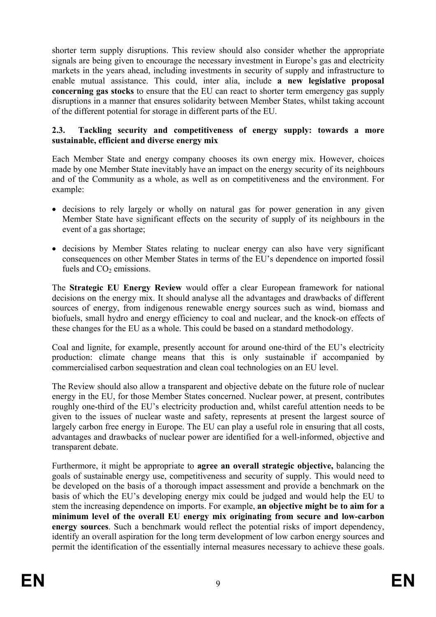shorter term supply disruptions. This review should also consider whether the appropriate signals are being given to encourage the necessary investment in Europe's gas and electricity markets in the years ahead, including investments in security of supply and infrastructure to enable mutual assistance. This could, inter alia, include **a new legislative proposal concerning gas stocks** to ensure that the EU can react to shorter term emergency gas supply disruptions in a manner that ensures solidarity between Member States, whilst taking account of the different potential for storage in different parts of the EU.

#### **2.3. Tackling security and competitiveness of energy supply: towards a more sustainable, efficient and diverse energy mix**

Each Member State and energy company chooses its own energy mix. However, choices made by one Member State inevitably have an impact on the energy security of its neighbours and of the Community as a whole, as well as on competitiveness and the environment. For example:

- decisions to rely largely or wholly on natural gas for power generation in any given Member State have significant effects on the security of supply of its neighbours in the event of a gas shortage;
- decisions by Member States relating to nuclear energy can also have very significant consequences on other Member States in terms of the EU's dependence on imported fossil fuels and  $CO<sub>2</sub>$  emissions.

The **Strategic EU Energy Review** would offer a clear European framework for national decisions on the energy mix. It should analyse all the advantages and drawbacks of different sources of energy, from indigenous renewable energy sources such as wind, biomass and biofuels, small hydro and energy efficiency to coal and nuclear, and the knock-on effects of these changes for the EU as a whole. This could be based on a standard methodology.

Coal and lignite, for example, presently account for around one-third of the EU's electricity production: climate change means that this is only sustainable if accompanied by commercialised carbon sequestration and clean coal technologies on an EU level.

The Review should also allow a transparent and objective debate on the future role of nuclear energy in the EU, for those Member States concerned. Nuclear power, at present, contributes roughly one-third of the EU's electricity production and, whilst careful attention needs to be given to the issues of nuclear waste and safety, represents at present the largest source of largely carbon free energy in Europe. The EU can play a useful role in ensuring that all costs, advantages and drawbacks of nuclear power are identified for a well-informed, objective and transparent debate.

Furthermore, it might be appropriate to **agree an overall strategic objective,** balancing the goals of sustainable energy use, competitiveness and security of supply. This would need to be developed on the basis of a thorough impact assessment and provide a benchmark on the basis of which the EU's developing energy mix could be judged and would help the EU to stem the increasing dependence on imports. For example, **an objective might be to aim for a minimum level of the overall EU energy mix originating from secure and low-carbon energy sources**. Such a benchmark would reflect the potential risks of import dependency, identify an overall aspiration for the long term development of low carbon energy sources and permit the identification of the essentially internal measures necessary to achieve these goals.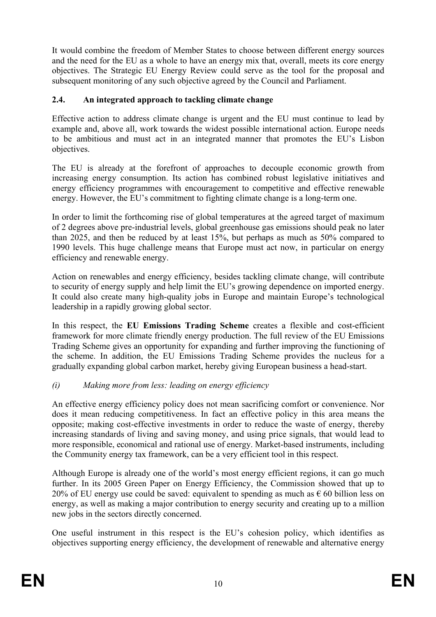It would combine the freedom of Member States to choose between different energy sources and the need for the EU as a whole to have an energy mix that, overall, meets its core energy objectives. The Strategic EU Energy Review could serve as the tool for the proposal and subsequent monitoring of any such objective agreed by the Council and Parliament.

# **2.4. An integrated approach to tackling climate change**

Effective action to address climate change is urgent and the EU must continue to lead by example and, above all, work towards the widest possible international action. Europe needs to be ambitious and must act in an integrated manner that promotes the EU's Lisbon objectives.

The EU is already at the forefront of approaches to decouple economic growth from increasing energy consumption. Its action has combined robust legislative initiatives and energy efficiency programmes with encouragement to competitive and effective renewable energy. However, the EU's commitment to fighting climate change is a long-term one.

In order to limit the forthcoming rise of global temperatures at the agreed target of maximum of 2 degrees above pre-industrial levels, global greenhouse gas emissions should peak no later than 2025, and then be reduced by at least 15%, but perhaps as much as 50% compared to 1990 levels. This huge challenge means that Europe must act now, in particular on energy efficiency and renewable energy.

Action on renewables and energy efficiency, besides tackling climate change, will contribute to security of energy supply and help limit the EU's growing dependence on imported energy. It could also create many high-quality jobs in Europe and maintain Europe's technological leadership in a rapidly growing global sector.

In this respect, the **EU Emissions Trading Scheme** creates a flexible and cost-efficient framework for more climate friendly energy production. The full review of the EU Emissions Trading Scheme gives an opportunity for expanding and further improving the functioning of the scheme. In addition, the EU Emissions Trading Scheme provides the nucleus for a gradually expanding global carbon market, hereby giving European business a head-start.

#### *(i) Making more from less: leading on energy efficiency*

An effective energy efficiency policy does not mean sacrificing comfort or convenience. Nor does it mean reducing competitiveness. In fact an effective policy in this area means the opposite; making cost-effective investments in order to reduce the waste of energy, thereby increasing standards of living and saving money, and using price signals, that would lead to more responsible, economical and rational use of energy. Market-based instruments, including the Community energy tax framework, can be a very efficient tool in this respect.

Although Europe is already one of the world's most energy efficient regions, it can go much further. In its 2005 Green Paper on Energy Efficiency, the Commission showed that up to 20% of EU energy use could be saved: equivalent to spending as much as  $\epsilon$  60 billion less on energy, as well as making a major contribution to energy security and creating up to a million new jobs in the sectors directly concerned.

One useful instrument in this respect is the EU's cohesion policy, which identifies as objectives supporting energy efficiency, the development of renewable and alternative energy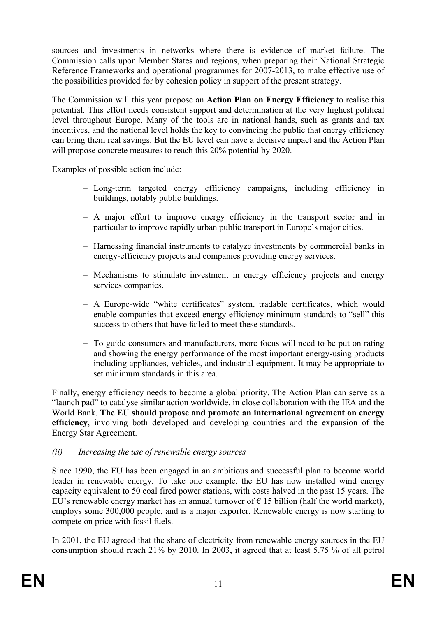sources and investments in networks where there is evidence of market failure. The Commission calls upon Member States and regions, when preparing their National Strategic Reference Frameworks and operational programmes for 2007-2013, to make effective use of the possibilities provided for by cohesion policy in support of the present strategy.

The Commission will this year propose an **Action Plan on Energy Efficiency** to realise this potential. This effort needs consistent support and determination at the very highest political level throughout Europe. Many of the tools are in national hands, such as grants and tax incentives, and the national level holds the key to convincing the public that energy efficiency can bring them real savings. But the EU level can have a decisive impact and the Action Plan will propose concrete measures to reach this 20% potential by 2020.

Examples of possible action include:

- Long-term targeted energy efficiency campaigns, including efficiency in buildings, notably public buildings.
- A major effort to improve energy efficiency in the transport sector and in particular to improve rapidly urban public transport in Europe's major cities.
- Harnessing financial instruments to catalyze investments by commercial banks in energy-efficiency projects and companies providing energy services.
- Mechanisms to stimulate investment in energy efficiency projects and energy services companies.
- A Europe-wide "white certificates" system, tradable certificates, which would enable companies that exceed energy efficiency minimum standards to "sell" this success to others that have failed to meet these standards.
- To guide consumers and manufacturers, more focus will need to be put on rating and showing the energy performance of the most important energy-using products including appliances, vehicles, and industrial equipment. It may be appropriate to set minimum standards in this area.

Finally, energy efficiency needs to become a global priority. The Action Plan can serve as a "launch pad" to catalyse similar action worldwide, in close collaboration with the IEA and the World Bank. **The EU should propose and promote an international agreement on energy efficiency**, involving both developed and developing countries and the expansion of the Energy Star Agreement.

*(ii) Increasing the use of renewable energy sources* 

Since 1990, the EU has been engaged in an ambitious and successful plan to become world leader in renewable energy. To take one example, the EU has now installed wind energy capacity equivalent to 50 coal fired power stations, with costs halved in the past 15 years. The EU's renewable energy market has an annual turnover of  $\epsilon$  15 billion (half the world market), employs some 300,000 people, and is a major exporter. Renewable energy is now starting to compete on price with fossil fuels.

In 2001, the EU agreed that the share of electricity from renewable energy sources in the EU consumption should reach 21% by 2010. In 2003, it agreed that at least 5.75 % of all petrol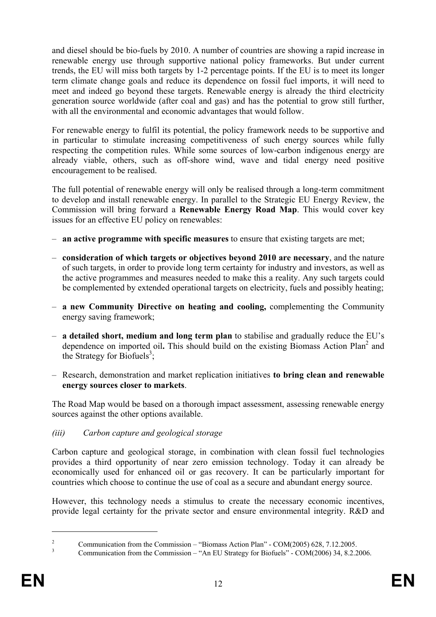and diesel should be bio-fuels by 2010. A number of countries are showing a rapid increase in renewable energy use through supportive national policy frameworks. But under current trends, the EU will miss both targets by 1-2 percentage points. If the EU is to meet its longer term climate change goals and reduce its dependence on fossil fuel imports, it will need to meet and indeed go beyond these targets. Renewable energy is already the third electricity generation source worldwide (after coal and gas) and has the potential to grow still further, with all the environmental and economic advantages that would follow.

For renewable energy to fulfil its potential, the policy framework needs to be supportive and in particular to stimulate increasing competitiveness of such energy sources while fully respecting the competition rules. While some sources of low-carbon indigenous energy are already viable, others, such as off-shore wind, wave and tidal energy need positive encouragement to be realised.

The full potential of renewable energy will only be realised through a long-term commitment to develop and install renewable energy. In parallel to the Strategic EU Energy Review, the Commission will bring forward a **Renewable Energy Road Map**. This would cover key issues for an effective EU policy on renewables:

- **an active programme with specific measures** to ensure that existing targets are met;
- **consideration of which targets or objectives beyond 2010 are necessary**, and the nature of such targets, in order to provide long term certainty for industry and investors, as well as the active programmes and measures needed to make this a reality. Any such targets could be complemented by extended operational targets on electricity, fuels and possibly heating;
- **a new Community Directive on heating and cooling,** complementing the Community energy saving framework;
- **a detailed short, medium and long term plan** to stabilise and gradually reduce the EU's dependence on imported oil. This should build on the existing Biomass Action Plan<sup>2</sup> and the Strategy for Biofuels<sup>3</sup>;
- Research, demonstration and market replication initiatives **to bring clean and renewable energy sources closer to markets**.

The Road Map would be based on a thorough impact assessment, assessing renewable energy sources against the other options available.

*(iii) Carbon capture and geological storage* 

Carbon capture and geological storage, in combination with clean fossil fuel technologies provides a third opportunity of near zero emission technology. Today it can already be economically used for enhanced oil or gas recovery. It can be particularly important for countries which choose to continue the use of coal as a secure and abundant energy source.

However, this technology needs a stimulus to create the necessary economic incentives, provide legal certainty for the private sector and ensure environmental integrity. R&D and

 $\overline{a}$ 

 $\overline{2}$  Communication from the Commission – "Biomass Action Plan" - COM(2005) 628, 7.12.2005. 3

Communication from the Commission – "An EU Strategy for Biofuels" - COM(2006) 34, 8.2.2006.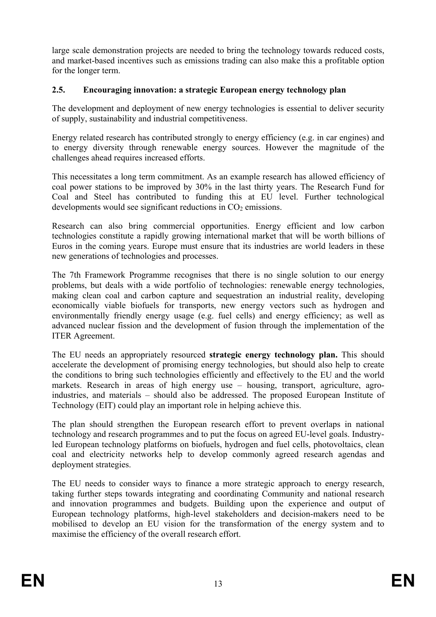large scale demonstration projects are needed to bring the technology towards reduced costs, and market-based incentives such as emissions trading can also make this a profitable option for the longer term.

## **2.5. Encouraging innovation: a strategic European energy technology plan**

The development and deployment of new energy technologies is essential to deliver security of supply, sustainability and industrial competitiveness.

Energy related research has contributed strongly to energy efficiency (e.g. in car engines) and to energy diversity through renewable energy sources. However the magnitude of the challenges ahead requires increased efforts.

This necessitates a long term commitment. As an example research has allowed efficiency of coal power stations to be improved by 30% in the last thirty years. The Research Fund for Coal and Steel has contributed to funding this at EU level. Further technological developments would see significant reductions in  $CO<sub>2</sub>$  emissions.

Research can also bring commercial opportunities. Energy efficient and low carbon technologies constitute a rapidly growing international market that will be worth billions of Euros in the coming years. Europe must ensure that its industries are world leaders in these new generations of technologies and processes.

The 7th Framework Programme recognises that there is no single solution to our energy problems, but deals with a wide portfolio of technologies: renewable energy technologies, making clean coal and carbon capture and sequestration an industrial reality, developing economically viable biofuels for transports, new energy vectors such as hydrogen and environmentally friendly energy usage (e.g. fuel cells) and energy efficiency; as well as advanced nuclear fission and the development of fusion through the implementation of the ITER Agreement.

The EU needs an appropriately resourced **strategic energy technology plan.** This should accelerate the development of promising energy technologies, but should also help to create the conditions to bring such technologies efficiently and effectively to the EU and the world markets. Research in areas of high energy use – housing, transport, agriculture, agroindustries, and materials – should also be addressed. The proposed European Institute of Technology (EIT) could play an important role in helping achieve this.

The plan should strengthen the European research effort to prevent overlaps in national technology and research programmes and to put the focus on agreed EU-level goals. Industryled European technology platforms on biofuels, hydrogen and fuel cells, photovoltaics, clean coal and electricity networks help to develop commonly agreed research agendas and deployment strategies.

The EU needs to consider ways to finance a more strategic approach to energy research, taking further steps towards integrating and coordinating Community and national research and innovation programmes and budgets. Building upon the experience and output of European technology platforms, high-level stakeholders and decision-makers need to be mobilised to develop an EU vision for the transformation of the energy system and to maximise the efficiency of the overall research effort.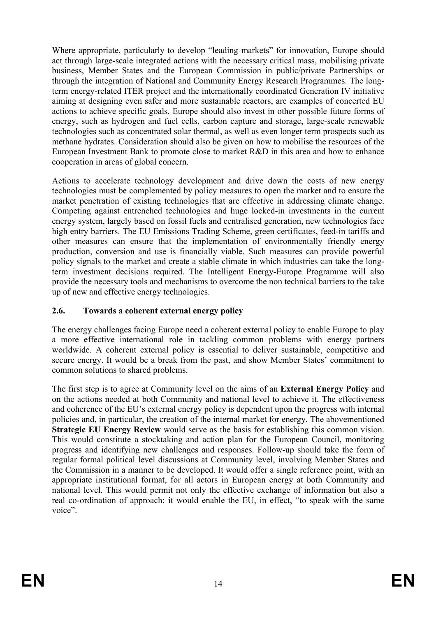Where appropriate, particularly to develop "leading markets" for innovation, Europe should act through large-scale integrated actions with the necessary critical mass, mobilising private business, Member States and the European Commission in public/private Partnerships or through the integration of National and Community Energy Research Programmes. The longterm energy-related ITER project and the internationally coordinated Generation IV initiative aiming at designing even safer and more sustainable reactors, are examples of concerted EU actions to achieve specific goals. Europe should also invest in other possible future forms of energy, such as hydrogen and fuel cells, carbon capture and storage, large-scale renewable technologies such as concentrated solar thermal, as well as even longer term prospects such as methane hydrates. Consideration should also be given on how to mobilise the resources of the European Investment Bank to promote close to market R&D in this area and how to enhance cooperation in areas of global concern.

Actions to accelerate technology development and drive down the costs of new energy technologies must be complemented by policy measures to open the market and to ensure the market penetration of existing technologies that are effective in addressing climate change. Competing against entrenched technologies and huge locked-in investments in the current energy system, largely based on fossil fuels and centralised generation, new technologies face high entry barriers. The EU Emissions Trading Scheme, green certificates, feed-in tariffs and other measures can ensure that the implementation of environmentally friendly energy production, conversion and use is financially viable. Such measures can provide powerful policy signals to the market and create a stable climate in which industries can take the longterm investment decisions required. The Intelligent Energy-Europe Programme will also provide the necessary tools and mechanisms to overcome the non technical barriers to the take up of new and effective energy technologies.

# **2.6. Towards a coherent external energy policy**

The energy challenges facing Europe need a coherent external policy to enable Europe to play a more effective international role in tackling common problems with energy partners worldwide. A coherent external policy is essential to deliver sustainable, competitive and secure energy. It would be a break from the past, and show Member States' commitment to common solutions to shared problems.

The first step is to agree at Community level on the aims of an **External Energy Policy** and on the actions needed at both Community and national level to achieve it. The effectiveness and coherence of the EU's external energy policy is dependent upon the progress with internal policies and, in particular, the creation of the internal market for energy. The abovementioned **Strategic EU Energy Review** would serve as the basis for establishing this common vision. This would constitute a stocktaking and action plan for the European Council, monitoring progress and identifying new challenges and responses. Follow-up should take the form of regular formal political level discussions at Community level, involving Member States and the Commission in a manner to be developed. It would offer a single reference point, with an appropriate institutional format, for all actors in European energy at both Community and national level. This would permit not only the effective exchange of information but also a real co-ordination of approach: it would enable the EU, in effect, "to speak with the same voice".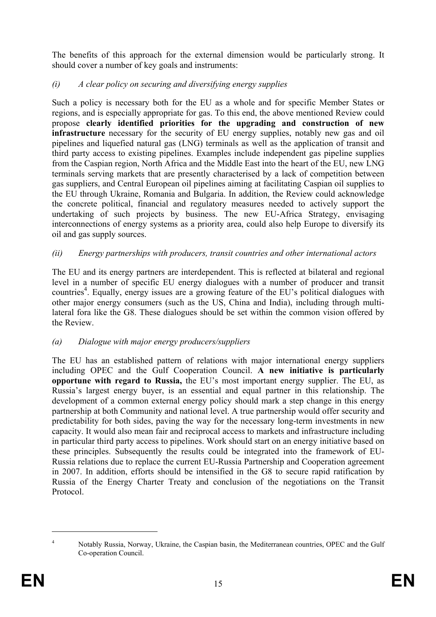The benefits of this approach for the external dimension would be particularly strong. It should cover a number of key goals and instruments:

# *(i) A clear policy on securing and diversifying energy supplies*

Such a policy is necessary both for the EU as a whole and for specific Member States or regions, and is especially appropriate for gas. To this end, the above mentioned Review could propose **clearly identified priorities for the upgrading and construction of new infrastructure** necessary for the security of EU energy supplies, notably new gas and oil pipelines and liquefied natural gas (LNG) terminals as well as the application of transit and third party access to existing pipelines. Examples include independent gas pipeline supplies from the Caspian region, North Africa and the Middle East into the heart of the EU, new LNG terminals serving markets that are presently characterised by a lack of competition between gas suppliers, and Central European oil pipelines aiming at facilitating Caspian oil supplies to the EU through Ukraine, Romania and Bulgaria. In addition, the Review could acknowledge the concrete political, financial and regulatory measures needed to actively support the undertaking of such projects by business. The new EU-Africa Strategy, envisaging interconnections of energy systems as a priority area, could also help Europe to diversify its oil and gas supply sources.

# *(ii) Energy partnerships with producers, transit countries and other international actors*

The EU and its energy partners are interdependent. This is reflected at bilateral and regional level in a number of specific EU energy dialogues with a number of producer and transit countries<sup>4</sup>. Equally, energy issues are a growing feature of the EU's political dialogues with other major energy consumers (such as the US, China and India), including through multilateral fora like the G8. These dialogues should be set within the common vision offered by the Review.

# *(a) Dialogue with major energy producers/suppliers*

The EU has an established pattern of relations with major international energy suppliers including OPEC and the Gulf Cooperation Council. **A new initiative is particularly opportune with regard to Russia,** the EU's most important energy supplier. The EU, as Russia's largest energy buyer, is an essential and equal partner in this relationship. The development of a common external energy policy should mark a step change in this energy partnership at both Community and national level. A true partnership would offer security and predictability for both sides, paving the way for the necessary long-term investments in new capacity. It would also mean fair and reciprocal access to markets and infrastructure including in particular third party access to pipelines. Work should start on an energy initiative based on these principles. Subsequently the results could be integrated into the framework of EU-Russia relations due to replace the current EU-Russia Partnership and Cooperation agreement in 2007. In addition, efforts should be intensified in the G8 to secure rapid ratification by Russia of the Energy Charter Treaty and conclusion of the negotiations on the Transit Protocol.

 $\overline{a}$ 

<sup>4</sup> Notably Russia, Norway, Ukraine, the Caspian basin, the Mediterranean countries, OPEC and the Gulf Co-operation Council.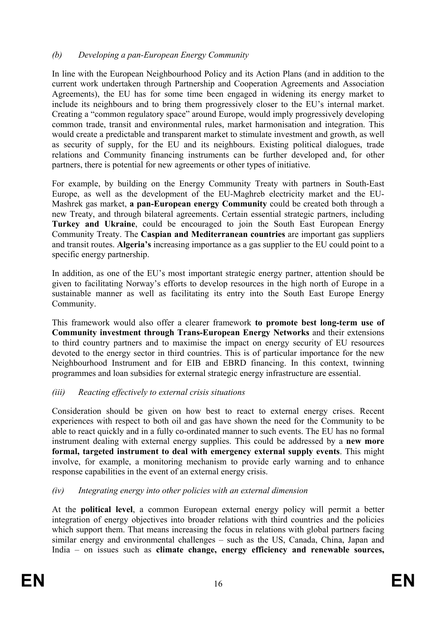# *(b) Developing a pan-European Energy Community*

In line with the European Neighbourhood Policy and its Action Plans (and in addition to the current work undertaken through Partnership and Cooperation Agreements and Association Agreements), the EU has for some time been engaged in widening its energy market to include its neighbours and to bring them progressively closer to the EU's internal market. Creating a "common regulatory space" around Europe, would imply progressively developing common trade, transit and environmental rules, market harmonisation and integration. This would create a predictable and transparent market to stimulate investment and growth, as well as security of supply, for the EU and its neighbours. Existing political dialogues, trade relations and Community financing instruments can be further developed and, for other partners, there is potential for new agreements or other types of initiative.

For example, by building on the Energy Community Treaty with partners in South-East Europe, as well as the development of the EU-Maghreb electricity market and the EU-Mashrek gas market, **a pan-European energy Community** could be created both through a new Treaty, and through bilateral agreements. Certain essential strategic partners, including **Turkey and Ukraine**, could be encouraged to join the South East European Energy Community Treaty. The **Caspian and Mediterranean countries** are important gas suppliers and transit routes. **Algeria's** increasing importance as a gas supplier to the EU could point to a specific energy partnership.

In addition, as one of the EU's most important strategic energy partner, attention should be given to facilitating Norway's efforts to develop resources in the high north of Europe in a sustainable manner as well as facilitating its entry into the South East Europe Energy Community.

This framework would also offer a clearer framework **to promote best long-term use of Community investment through Trans-European Energy Networks** and their extensions to third country partners and to maximise the impact on energy security of EU resources devoted to the energy sector in third countries. This is of particular importance for the new Neighbourhood Instrument and for EIB and EBRD financing. In this context, twinning programmes and loan subsidies for external strategic energy infrastructure are essential.

#### *(iii) Reacting effectively to external crisis situations*

Consideration should be given on how best to react to external energy crises. Recent experiences with respect to both oil and gas have shown the need for the Community to be able to react quickly and in a fully co-ordinated manner to such events. The EU has no formal instrument dealing with external energy supplies. This could be addressed by a **new more formal, targeted instrument to deal with emergency external supply events**. This might involve, for example, a monitoring mechanism to provide early warning and to enhance response capabilities in the event of an external energy crisis.

#### *(iv) Integrating energy into other policies with an external dimension*

At the **political level**, a common European external energy policy will permit a better integration of energy objectives into broader relations with third countries and the policies which support them. That means increasing the focus in relations with global partners facing similar energy and environmental challenges – such as the US, Canada, China, Japan and India – on issues such as **climate change, energy efficiency and renewable sources,**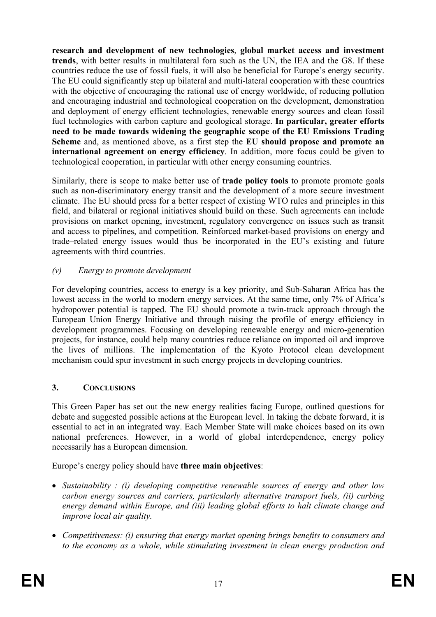**research and development of new technologies**, **global market access and investment trends**, with better results in multilateral fora such as the UN, the IEA and the G8. If these countries reduce the use of fossil fuels, it will also be beneficial for Europe's energy security. The EU could significantly step up bilateral and multi-lateral cooperation with these countries with the objective of encouraging the rational use of energy worldwide, of reducing pollution and encouraging industrial and technological cooperation on the development, demonstration and deployment of energy efficient technologies, renewable energy sources and clean fossil fuel technologies with carbon capture and geological storage. **In particular, greater efforts need to be made towards widening the geographic scope of the EU Emissions Trading Scheme** and, as mentioned above, as a first step the **EU should propose and promote an international agreement on energy efficiency**. In addition, more focus could be given to technological cooperation, in particular with other energy consuming countries.

Similarly, there is scope to make better use of **trade policy tools** to promote promote goals such as non-discriminatory energy transit and the development of a more secure investment climate. The EU should press for a better respect of existing WTO rules and principles in this field, and bilateral or regional initiatives should build on these. Such agreements can include provisions on market opening, investment, regulatory convergence on issues such as transit and access to pipelines, and competition. Reinforced market-based provisions on energy and trade–related energy issues would thus be incorporated in the EU's existing and future agreements with third countries.

# *(v) Energy to promote development*

For developing countries, access to energy is a key priority, and Sub-Saharan Africa has the lowest access in the world to modern energy services. At the same time, only 7% of Africa's hydropower potential is tapped. The EU should promote a twin-track approach through the European Union Energy Initiative and through raising the profile of energy efficiency in development programmes. Focusing on developing renewable energy and micro-generation projects, for instance, could help many countries reduce reliance on imported oil and improve the lives of millions. The implementation of the Kyoto Protocol clean development mechanism could spur investment in such energy projects in developing countries.

# **3. CONCLUSIONS**

This Green Paper has set out the new energy realities facing Europe, outlined questions for debate and suggested possible actions at the European level. In taking the debate forward, it is essential to act in an integrated way. Each Member State will make choices based on its own national preferences. However, in a world of global interdependence, energy policy necessarily has a European dimension.

Europe's energy policy should have **three main objectives**:

- *Sustainability : (i) developing competitive renewable sources of energy and other low carbon energy sources and carriers, particularly alternative transport fuels, (ii) curbing energy demand within Europe, and (iii) leading global efforts to halt climate change and improve local air quality.*
- *Competitiveness: (i) ensuring that energy market opening brings benefits to consumers and to the economy as a whole, while stimulating investment in clean energy production and*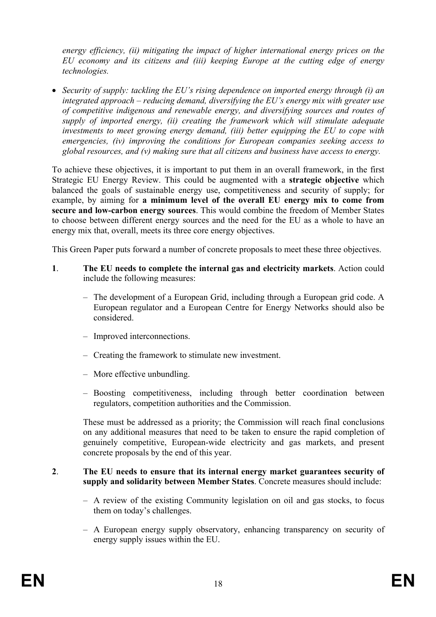*energy efficiency, (ii) mitigating the impact of higher international energy prices on the EU economy and its citizens and (iii) keeping Europe at the cutting edge of energy technologies.* 

• *Security of supply: tackling the EU's rising dependence on imported energy through (i) an integrated approach – reducing demand, diversifying the EU's energy mix with greater use of competitive indigenous and renewable energy, and diversifying sources and routes of supply of imported energy, (ii) creating the framework which will stimulate adequate investments to meet growing energy demand, (iii) better equipping the EU to cope with emergencies, (iv) improving the conditions for European companies seeking access to global resources, and (v) making sure that all citizens and business have access to energy.* 

To achieve these objectives, it is important to put them in an overall framework, in the first Strategic EU Energy Review. This could be augmented with a **strategic objective** which balanced the goals of sustainable energy use, competitiveness and security of supply; for example, by aiming for **a minimum level of the overall EU energy mix to come from secure and low-carbon energy sources**. This would combine the freedom of Member States to choose between different energy sources and the need for the EU as a whole to have an energy mix that, overall, meets its three core energy objectives.

This Green Paper puts forward a number of concrete proposals to meet these three objectives.

- **1**. **The EU needs to complete the internal gas and electricity markets**. Action could include the following measures:
	- The development of a European Grid, including through a European grid code. A European regulator and a European Centre for Energy Networks should also be considered.
	- Improved interconnections.
	- Creating the framework to stimulate new investment.
	- More effective unbundling.
	- Boosting competitiveness, including through better coordination between regulators, competition authorities and the Commission.

These must be addressed as a priority; the Commission will reach final conclusions on any additional measures that need to be taken to ensure the rapid completion of genuinely competitive, European-wide electricity and gas markets, and present concrete proposals by the end of this year.

#### **2**. **The EU needs to ensure that its internal energy market guarantees security of supply and solidarity between Member States**. Concrete measures should include:

- A review of the existing Community legislation on oil and gas stocks, to focus them on today's challenges.
- A European energy supply observatory, enhancing transparency on security of energy supply issues within the EU.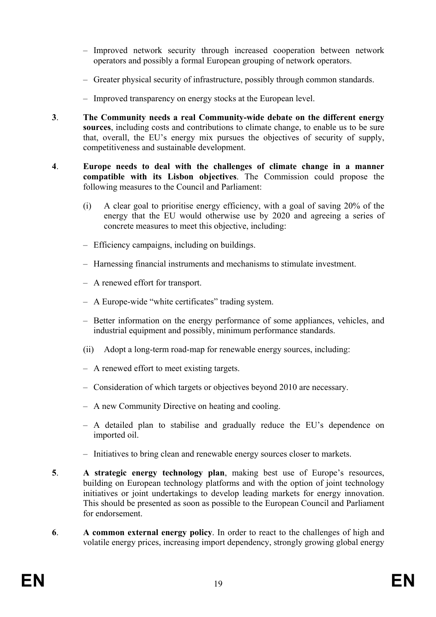- Improved network security through increased cooperation between network operators and possibly a formal European grouping of network operators.
- Greater physical security of infrastructure, possibly through common standards.
- Improved transparency on energy stocks at the European level.
- **3**. **The Community needs a real Community-wide debate on the different energy sources**, including costs and contributions to climate change, to enable us to be sure that, overall, the EU's energy mix pursues the objectives of security of supply, competitiveness and sustainable development.
- **4**. **Europe needs to deal with the challenges of climate change in a manner compatible with its Lisbon objectives**. The Commission could propose the following measures to the Council and Parliament:
	- (i) A clear goal to prioritise energy efficiency, with a goal of saving 20% of the energy that the EU would otherwise use by 2020 and agreeing a series of concrete measures to meet this objective, including:
	- Efficiency campaigns, including on buildings.
	- Harnessing financial instruments and mechanisms to stimulate investment.
	- A renewed effort for transport.
	- A Europe-wide "white certificates" trading system.
	- Better information on the energy performance of some appliances, vehicles, and industrial equipment and possibly, minimum performance standards.
	- (ii) Adopt a long-term road-map for renewable energy sources, including:
	- A renewed effort to meet existing targets.
	- Consideration of which targets or objectives beyond 2010 are necessary.
	- A new Community Directive on heating and cooling.
	- A detailed plan to stabilise and gradually reduce the EU's dependence on imported oil.
	- Initiatives to bring clean and renewable energy sources closer to markets.
- **5**. **A strategic energy technology plan**, making best use of Europe's resources, building on European technology platforms and with the option of joint technology initiatives or joint undertakings to develop leading markets for energy innovation. This should be presented as soon as possible to the European Council and Parliament for endorsement.
- **6**. **A common external energy policy**. In order to react to the challenges of high and volatile energy prices, increasing import dependency, strongly growing global energy